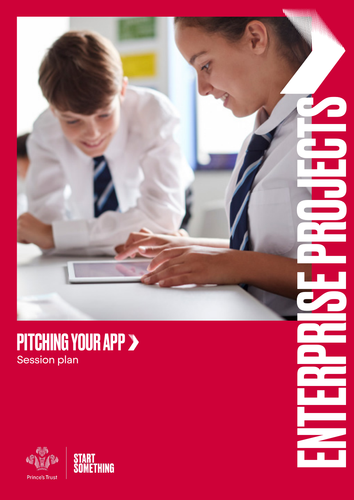#### PITCHING YOUR APP Session plan

ENTERPRISE PROJECTS

Ξ

E

 $\overline{\phantom{a}}$ 



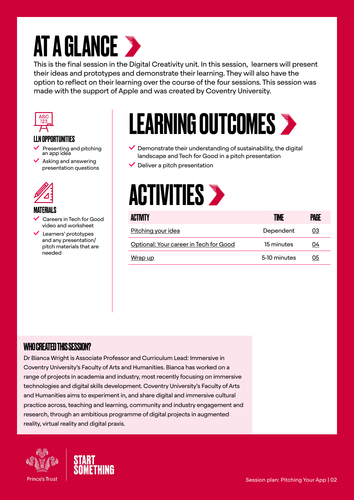# **AT A GLANCE >**

This is the final session in the Digital Creativity unit. In this session, learners will present their ideas and prototypes and demonstrate their learning. They will also have the option to reflect on their learning over the course of the four sessions. This session was made with the support of Apple and was created by Coventry University.



#### LLN OPPORTUNITIES

- Presenting and pitching an app idea
- $\blacktriangleright$  Asking and answering presentation questions



#### MATERIALS

- Careers in Tech for Good video and worksheet
- Learners' prototypes and any presentation/ pitch materials that are needed



- $\vee$  Demonstrate their understanding of sustainability, the digital landscape and Tech for Good in a pitch presentation
- $\vee$  Deliver a pitch presentation



| <b>ACTIVITY</b>                        | TIME         | PAGE |
|----------------------------------------|--------------|------|
| Pitching your idea                     | Dependent    | 03   |
| Optional: Your career in Tech for Good | 15 minutes   | 04   |
| Wrap up                                | 5-10 minutes | 05   |

#### WHO CREATED THIS SESSION?

Dr Bianca Wright is Associate Professor and Curriculum Lead: Immersive in Coventry University's Faculty of Arts and Humanities. Bianca has worked on a range of projects in academia and industry, most recently focusing on immersive technologies and digital skills development. Coventry University's Faculty of Arts and Humanities aims to experiment in, and share digital and immersive cultural practice across, teaching and learning, community and industry engagement and research, through an ambitious programme of digital projects in augmented reality, virtual reality and digital praxis.



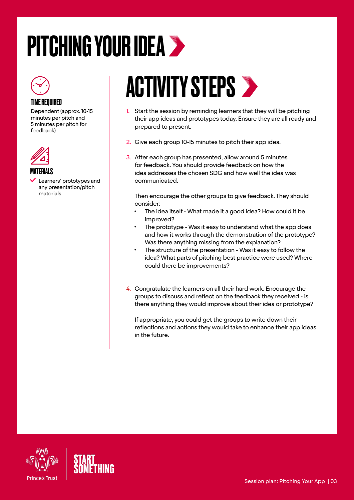# <span id="page-2-0"></span>PITCHING YOUR IDEA >



Dependent (approx. 10-15 minutes per pitch and 5 minutes per pitch for feedback)



MATERIALS

 Learners' prototypes and any presentation/pitch materials

# **ACTIVITY STEPS >**

- 1. Start the session by reminding learners that they will be pitching their app ideas and prototypes today. Ensure they are all ready and prepared to present.
- 2. Give each group 10-15 minutes to pitch their app idea.
- 3. After each group has presented, allow around 5 minutes for feedback. You should provide feedback on how the idea addresses the chosen SDG and how well the idea was communicated.

Then encourage the other groups to give feedback. They should consider:

- The idea itself What made it a good idea? How could it be improved?
- The prototype Was it easy to understand what the app does and how it works through the demonstration of the prototype? Was there anything missing from the explanation?
- The structure of the presentation Was it easy to follow the idea? What parts of pitching best practice were used? Where could there be improvements?
- 4. Congratulate the learners on all their hard work. Encourage the groups to discuss and reflect on the feedback they received - is there anything they would improve about their idea or prototype?

If appropriate, you could get the groups to write down their reflections and actions they would take to enhance their app ideas in the future.



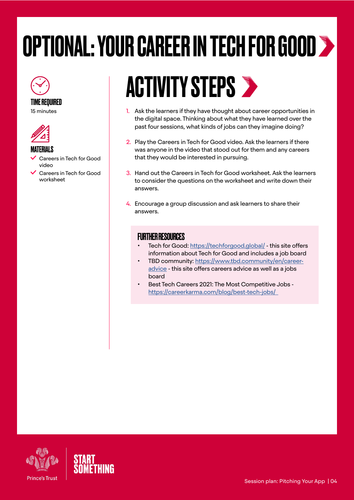# <span id="page-3-0"></span>OPTIONAL: YOUR CAREER IN TECH FOR GOOD





#### MATERIALS

- Careers in Tech for Good video
- Careers in Tech for Good worksheet

## **ACTIVITY STEPS >**

- 1. Ask the learners if they have thought about career opportunities in the digital space. Thinking about what they have learned over the past four sessions, what kinds of jobs can they imagine doing?
- 2. Play the Careers in Tech for Good video. Ask the learners if there was anyone in the video that stood out for them and any careers that they would be interested in pursuing.
- 3. Hand out the Careers in Tech for Good worksheet. Ask the learners to consider the questions on the worksheet and write down their answers.
- 4. Encourage a group discussion and ask learners to share their answers.

#### FURTHER RESOURCES

- Tech for Good:<https://techforgood.global/> this site offers information about Tech for Good and includes a job board
- TBD community: [https://www.tbd.community/en/career](https://www.tbd.community/en/career-advice)[advice](https://www.tbd.community/en/career-advice) - this site offers careers advice as well as a jobs board
- Best Tech Careers 2021: The Most Competitive Jobs [https://careerkarma.com/blog/best-tech-jobs/](https://careerkarma.com/blog/best-tech-jobs/  )